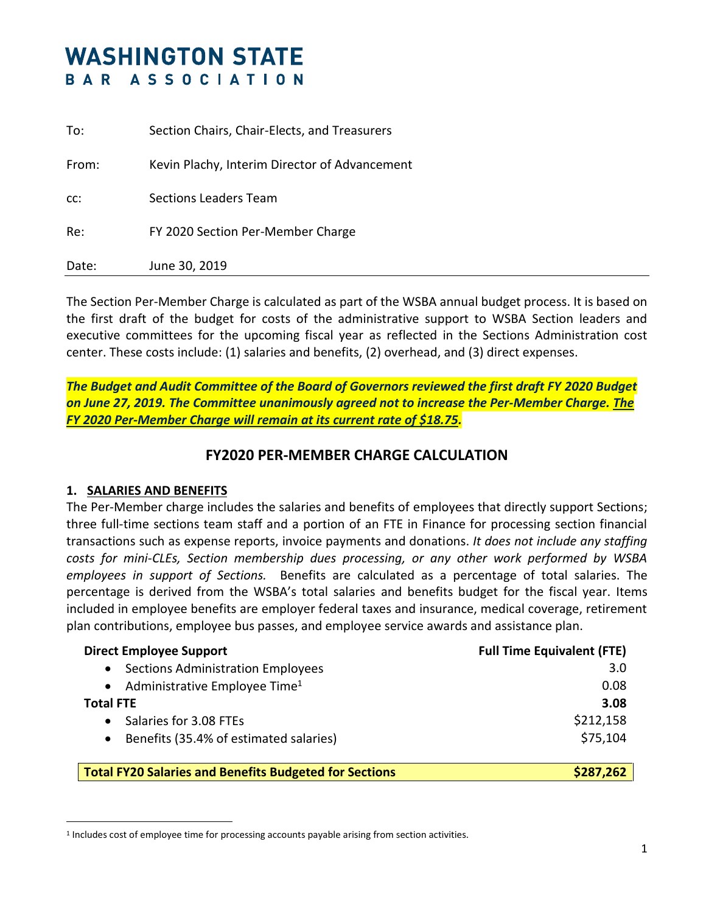# **WASHINGTON STATE** BAR ASSOCIATION

| To:   | Section Chairs, Chair-Elects, and Treasurers  |
|-------|-----------------------------------------------|
| From: | Kevin Plachy, Interim Director of Advancement |
| CC:   | <b>Sections Leaders Team</b>                  |
| Re:   | FY 2020 Section Per-Member Charge             |
| Date: | June 30, 2019                                 |

The Section Per-Member Charge is calculated as part of the WSBA annual budget process. It is based on the first draft of the budget for costs of the administrative support to WSBA Section leaders and executive committees for the upcoming fiscal year as reflected in the Sections Administration cost center. These costs include: (1) salaries and benefits, (2) overhead, and (3) direct expenses.

*The Budget and Audit Committee of the Board of Governors reviewed the first draft FY 2020 Budget on June 27, 2019. The Committee unanimously agreed not to increase the Per-Member Charge. The FY 2020 Per-Member Charge will remain at its current rate of \$18.75.*

## **FY2020 PER-MEMBER CHARGE CALCULATION**

#### **1. SALARIES AND BENEFITS**

 $\overline{a}$ 

The Per-Member charge includes the salaries and benefits of employees that directly support Sections; three full-time sections team staff and a portion of an FTE in Finance for processing section financial transactions such as expense reports, invoice payments and donations. *It does not include any staffing costs for mini-CLEs, Section membership dues processing, or any other work performed by WSBA employees in support of Sections.* Benefits are calculated as a percentage of total salaries. The percentage is derived from the WSBA's total salaries and benefits budget for the fiscal year. Items included in employee benefits are employer federal taxes and insurance, medical coverage, retirement plan contributions, employee bus passes, and employee service awards and assistance plan.

| <b>Direct Employee Support</b>                                | <b>Full Time Equivalent (FTE)</b> |
|---------------------------------------------------------------|-----------------------------------|
| <b>Sections Administration Employees</b><br>$\bullet$         | 3.0                               |
| Administrative Employee Time <sup>1</sup><br>$\bullet$        | 0.08                              |
| <b>Total FTE</b>                                              | 3.08                              |
| Salaries for 3.08 FTEs<br>$\bullet$                           | \$212,158                         |
| Benefits (35.4% of estimated salaries)<br>$\bullet$           | \$75,104                          |
|                                                               |                                   |
| <b>Total FY20 Salaries and Benefits Budgeted for Sections</b> | \$287,262                         |

<sup>1</sup> Includes cost of employee time for processing accounts payable arising from section activities.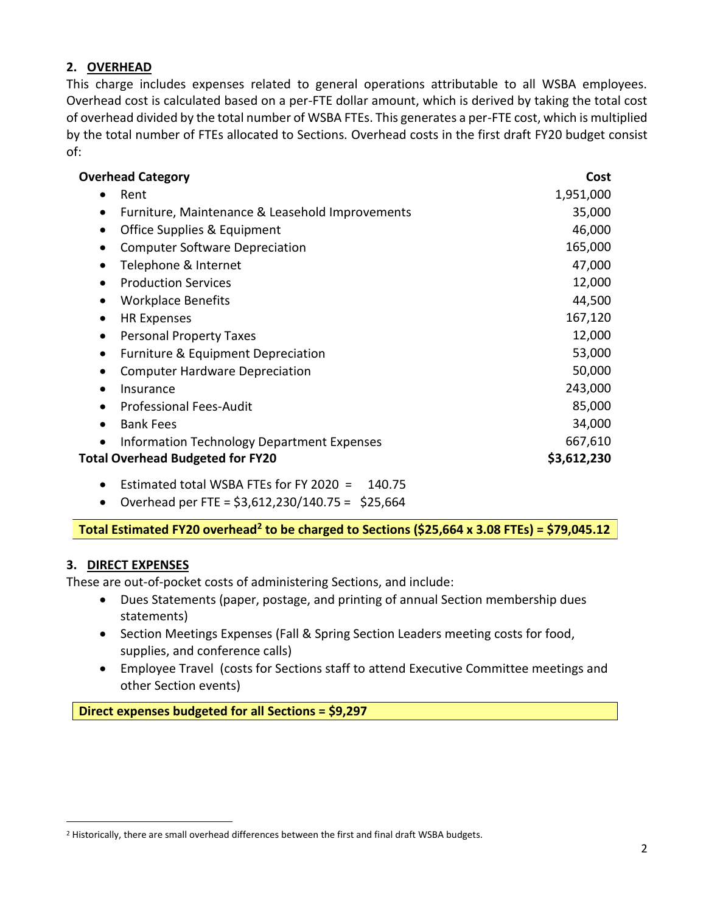#### **2. OVERHEAD**

This charge includes expenses related to general operations attributable to all WSBA employees. Overhead cost is calculated based on a per-FTE dollar amount, which is derived by taking the total cost of overhead divided by the total number of WSBA FTEs. This generates a per-FTE cost, which is multiplied by the total number of FTEs allocated to Sections. Overhead costs in the first draft FY20 budget consist of:

| <b>Overhead Category</b>                           | Cost        |
|----------------------------------------------------|-------------|
| Rent                                               | 1,951,000   |
| Furniture, Maintenance & Leasehold Improvements    | 35,000      |
| Office Supplies & Equipment<br>$\bullet$           | 46,000      |
| <b>Computer Software Depreciation</b><br>$\bullet$ | 165,000     |
| Telephone & Internet<br>$\bullet$                  | 47,000      |
| <b>Production Services</b><br>$\bullet$            | 12,000      |
| <b>Workplace Benefits</b><br>$\bullet$             | 44,500      |
| <b>HR Expenses</b><br>$\bullet$                    | 167,120     |
| <b>Personal Property Taxes</b><br>$\bullet$        | 12,000      |
| Furniture & Equipment Depreciation                 | 53,000      |
| <b>Computer Hardware Depreciation</b>              | 50,000      |
| Insurance<br>$\bullet$                             | 243,000     |
| <b>Professional Fees-Audit</b><br>$\bullet$        | 85,000      |
| <b>Bank Fees</b><br>$\bullet$                      | 34,000      |
| Information Technology Department Expenses         | 667,610     |
| <b>Total Overhead Budgeted for FY20</b>            | \$3,612,230 |
| Estimated total WSBA FTEs for FY 2020 =<br>140.75  |             |

• Overhead per FTE =  $$3,612,230/140.75 = $25,664$ 

**Total Estimated FY20 overhead<sup>2</sup> to be charged to Sections (\$25,664 x 3.08 FTEs) = \$79,045.12**

### **3. DIRECT EXPENSES**

 $\overline{a}$ 

These are out-of-pocket costs of administering Sections, and include:

- Dues Statements (paper, postage, and printing of annual Section membership dues statements)
- Section Meetings Expenses (Fall & Spring Section Leaders meeting costs for food, supplies, and conference calls)
- Employee Travel (costs for Sections staff to attend Executive Committee meetings and other Section events)

**Direct expenses budgeted for all Sections = \$9,297**

<sup>&</sup>lt;sup>2</sup> Historically, there are small overhead differences between the first and final draft WSBA budgets.